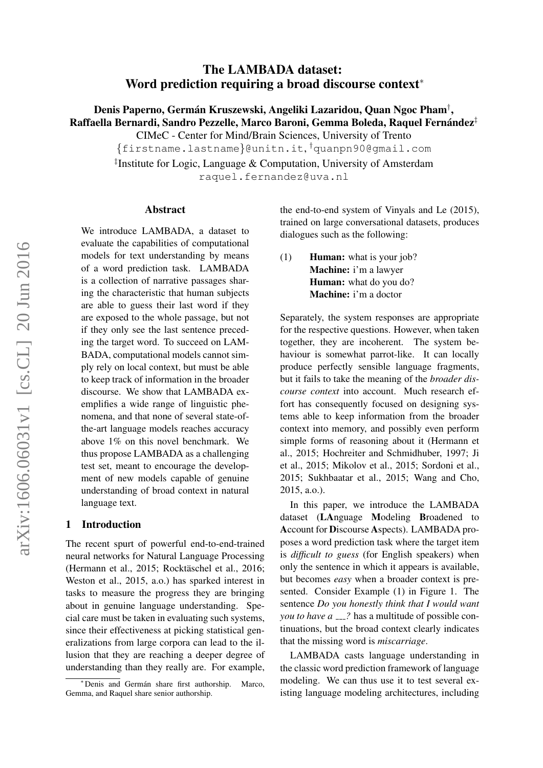# The LAMBADA dataset: Word prediction requiring a broad discourse context<sup>∗</sup>

Denis Paperno, Germán Kruszewski, Angeliki Lazaridou, Quan Ngoc Pham $^\dagger,$ Raffaella Bernardi, Sandro Pezzelle, Marco Baroni, Gemma Boleda, Raquel Fernández $^\ddag$ 

CIMeC - Center for Mind/Brain Sciences, University of Trento

{firstname.lastname}@unitn.it, †quanpn90@gmail.com

‡ Institute for Logic, Language & Computation, University of Amsterdam raquel.fernandez@uva.nl

#### Abstract

We introduce LAMBADA, a dataset to evaluate the capabilities of computational models for text understanding by means of a word prediction task. LAMBADA is a collection of narrative passages sharing the characteristic that human subjects are able to guess their last word if they are exposed to the whole passage, but not if they only see the last sentence preceding the target word. To succeed on LAM-BADA, computational models cannot simply rely on local context, but must be able to keep track of information in the broader discourse. We show that LAMBADA exemplifies a wide range of linguistic phenomena, and that none of several state-ofthe-art language models reaches accuracy above 1% on this novel benchmark. We thus propose LAMBADA as a challenging test set, meant to encourage the development of new models capable of genuine understanding of broad context in natural language text.

#### 1 Introduction

The recent spurt of powerful end-to-end-trained neural networks for Natural Language Processing (Hermann et al., 2015; Rocktäschel et al., 2016; Weston et al., 2015, a.o.) has sparked interest in tasks to measure the progress they are bringing about in genuine language understanding. Special care must be taken in evaluating such systems, since their effectiveness at picking statistical generalizations from large corpora can lead to the illusion that they are reaching a deeper degree of understanding than they really are. For example,

the end-to-end system of Vinyals and Le (2015), trained on large conversational datasets, produces dialogues such as the following:

(1) Human: what is your job? Machine: i'm a lawyer Human: what do you do? Machine: i'm a doctor

Separately, the system responses are appropriate for the respective questions. However, when taken together, they are incoherent. The system behaviour is somewhat parrot-like. It can locally produce perfectly sensible language fragments, but it fails to take the meaning of the *broader discourse context* into account. Much research effort has consequently focused on designing systems able to keep information from the broader context into memory, and possibly even perform simple forms of reasoning about it (Hermann et al., 2015; Hochreiter and Schmidhuber, 1997; Ji et al., 2015; Mikolov et al., 2015; Sordoni et al., 2015; Sukhbaatar et al., 2015; Wang and Cho, 2015, a.o.).

In this paper, we introduce the LAMBADA dataset (LAnguage Modeling Broadened to Account for Discourse Aspects). LAMBADA proposes a word prediction task where the target item is *difficult to guess* (for English speakers) when only the sentence in which it appears is available, but becomes *easy* when a broader context is presented. Consider Example (1) in Figure 1. The sentence *Do you honestly think that I would want you to have a <sub>---</sub>?* has a multitude of possible continuations, but the broad context clearly indicates that the missing word is *miscarriage*.

LAMBADA casts language understanding in the classic word prediction framework of language modeling. We can thus use it to test several existing language modeling architectures, including

<sup>\*</sup>Denis and Germán share first authorship. Marco, Gemma, and Raquel share senior authorship.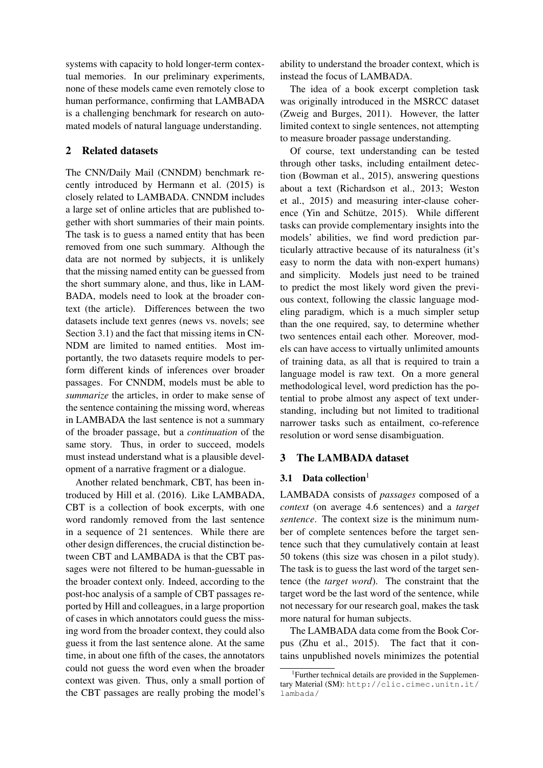systems with capacity to hold longer-term contextual memories. In our preliminary experiments, none of these models came even remotely close to human performance, confirming that LAMBADA is a challenging benchmark for research on automated models of natural language understanding.

# 2 Related datasets

The CNN/Daily Mail (CNNDM) benchmark recently introduced by Hermann et al. (2015) is closely related to LAMBADA. CNNDM includes a large set of online articles that are published together with short summaries of their main points. The task is to guess a named entity that has been removed from one such summary. Although the data are not normed by subjects, it is unlikely that the missing named entity can be guessed from the short summary alone, and thus, like in LAM-BADA, models need to look at the broader context (the article). Differences between the two datasets include text genres (news vs. novels; see Section 3.1) and the fact that missing items in CN-NDM are limited to named entities. Most importantly, the two datasets require models to perform different kinds of inferences over broader passages. For CNNDM, models must be able to *summarize* the articles, in order to make sense of the sentence containing the missing word, whereas in LAMBADA the last sentence is not a summary of the broader passage, but a *continuation* of the same story. Thus, in order to succeed, models must instead understand what is a plausible development of a narrative fragment or a dialogue.

Another related benchmark, CBT, has been introduced by Hill et al. (2016). Like LAMBADA, CBT is a collection of book excerpts, with one word randomly removed from the last sentence in a sequence of 21 sentences. While there are other design differences, the crucial distinction between CBT and LAMBADA is that the CBT passages were not filtered to be human-guessable in the broader context only. Indeed, according to the post-hoc analysis of a sample of CBT passages reported by Hill and colleagues, in a large proportion of cases in which annotators could guess the missing word from the broader context, they could also guess it from the last sentence alone. At the same time, in about one fifth of the cases, the annotators could not guess the word even when the broader context was given. Thus, only a small portion of the CBT passages are really probing the model's

ability to understand the broader context, which is instead the focus of LAMBADA.

The idea of a book excerpt completion task was originally introduced in the MSRCC dataset (Zweig and Burges, 2011). However, the latter limited context to single sentences, not attempting to measure broader passage understanding.

Of course, text understanding can be tested through other tasks, including entailment detection (Bowman et al., 2015), answering questions about a text (Richardson et al., 2013; Weston et al., 2015) and measuring inter-clause coherence (Yin and Schütze, 2015). While different tasks can provide complementary insights into the models' abilities, we find word prediction particularly attractive because of its naturalness (it's easy to norm the data with non-expert humans) and simplicity. Models just need to be trained to predict the most likely word given the previous context, following the classic language modeling paradigm, which is a much simpler setup than the one required, say, to determine whether two sentences entail each other. Moreover, models can have access to virtually unlimited amounts of training data, as all that is required to train a language model is raw text. On a more general methodological level, word prediction has the potential to probe almost any aspect of text understanding, including but not limited to traditional narrower tasks such as entailment, co-reference resolution or word sense disambiguation.

# 3 The LAMBADA dataset

# 3.1 Data collection $1$

LAMBADA consists of *passages* composed of a *context* (on average 4.6 sentences) and a *target sentence*. The context size is the minimum number of complete sentences before the target sentence such that they cumulatively contain at least 50 tokens (this size was chosen in a pilot study). The task is to guess the last word of the target sentence (the *target word*). The constraint that the target word be the last word of the sentence, while not necessary for our research goal, makes the task more natural for human subjects.

The LAMBADA data come from the Book Corpus (Zhu et al., 2015). The fact that it contains unpublished novels minimizes the potential

<sup>&</sup>lt;sup>1</sup> Further technical details are provided in the Supplementary Material (SM): http://clic.cimec.unitn.it/ lambada/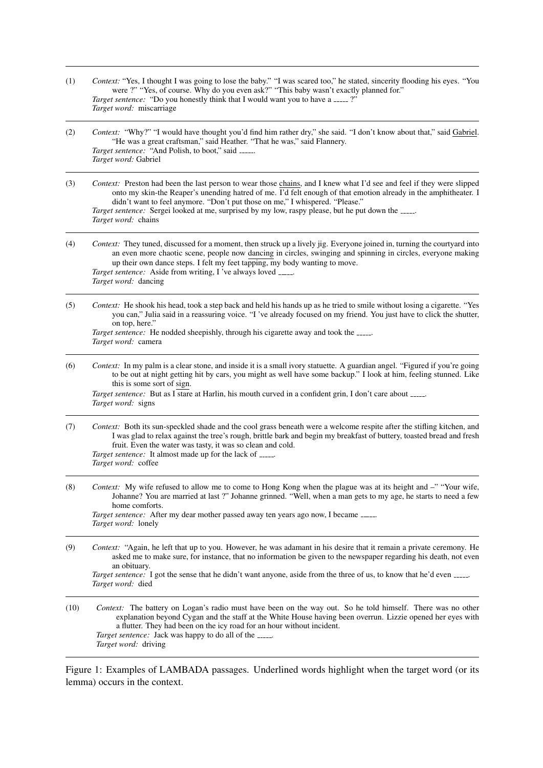- (1) *Context:* "Yes, I thought I was going to lose the baby." "I was scared too," he stated, sincerity flooding his eyes. "You were ?" "Yes, of course. Why do you even ask?" "This baby wasn't exactly planned for." *Target sentence:* "Do you honestly think that I would want you to have a \_\_\_\_ ?" *Target word:* miscarriage
- (2) *Context:* "Why?" "I would have thought you'd find him rather dry," she said. "I don't know about that," said Gabriel. "He was a great craftsman," said Heather. "That he was," said Flannery. *Target sentence:* "And Polish, to boot," said . *Target word:* Gabriel
- (3) *Context:* Preston had been the last person to wear those chains, and I knew what I'd see and feel if they were slipped onto my skin-the Reaper's unending hatred of me. I'd felt enough of that emotion already in the amphitheater. I didn't want to feel anymore. "Don't put those on me," I whispered. "Please." *Target sentence:* Sergei looked at me, surprised by my low, raspy please, but he put down the ....... *Target word:* chains
- (4) *Context:* They tuned, discussed for a moment, then struck up a lively jig. Everyone joined in, turning the courtyard into an even more chaotic scene, people now dancing in circles, swinging and spinning in circles, everyone making up their own dance steps. I felt my feet tapping, my body wanting to move. *Target sentence:* Aside from writing, I 've always loved . *Target word:* dancing
- (5) *Context:* He shook his head, took a step back and held his hands up as he tried to smile without losing a cigarette. "Yes you can," Julia said in a reassuring voice. "I 've already focused on my friend. You just have to click the shutter, on top, here." *Target sentence:* He nodded sheepishly, through his cigarette away and took the .

|                            | <i>rargel senience</i> : He nodded sneepisilly, ulrough his cigarette away and took the ___ |  |  |
|----------------------------|---------------------------------------------------------------------------------------------|--|--|
| <i>Target word:</i> camera |                                                                                             |  |  |

(6) *Context:* In my palm is a clear stone, and inside it is a small ivory statuette. A guardian angel. "Figured if you're going to be out at night getting hit by cars, you might as well have some backup." I look at him, feeling stunned. Like this is some sort of sign.

*Target sentence:* But as I stare at Harlin, his mouth curved in a confident grin, I don't care about \_\_\_\_\_. *Target word:* signs

- (7) *Context:* Both its sun-speckled shade and the cool grass beneath were a welcome respite after the stifling kitchen, and I was glad to relax against the tree's rough, brittle bark and begin my breakfast of buttery, toasted bread and fresh fruit. Even the water was tasty, it was so clean and cold. *Target sentence:* It almost made up for the lack of . *Target word:* coffee
- (8) *Context:* My wife refused to allow me to come to Hong Kong when the plague was at its height and –" "Your wife, Johanne? You are married at last ?" Johanne grinned. "Well, when a man gets to my age, he starts to need a few home comforts. *Target sentence:* After my dear mother passed away ten years ago now, I became ...... *Target word:* lonely

(9) *Context:* "Again, he left that up to you. However, he was adamant in his desire that it remain a private ceremony. He asked me to make sure, for instance, that no information be given to the newspaper regarding his death, not even an obituary. *Target sentence:* I got the sense that he didn't want anyone, aside from the three of us, to know that he'd even  $\frac{1}{1}$ .

(10) *Context:* The battery on Logan's radio must have been on the way out. So he told himself. There was no other explanation beyond Cygan and the staff at the White House having been overrun. Lizzie opened her eyes with a flutter. They had been on the icy road for an hour without incident. *Target sentence:* Jack was happy to do all of the ....... *Target word:* driving

Figure 1: Examples of LAMBADA passages. Underlined words highlight when the target word (or its lemma) occurs in the context.

*Target word:* died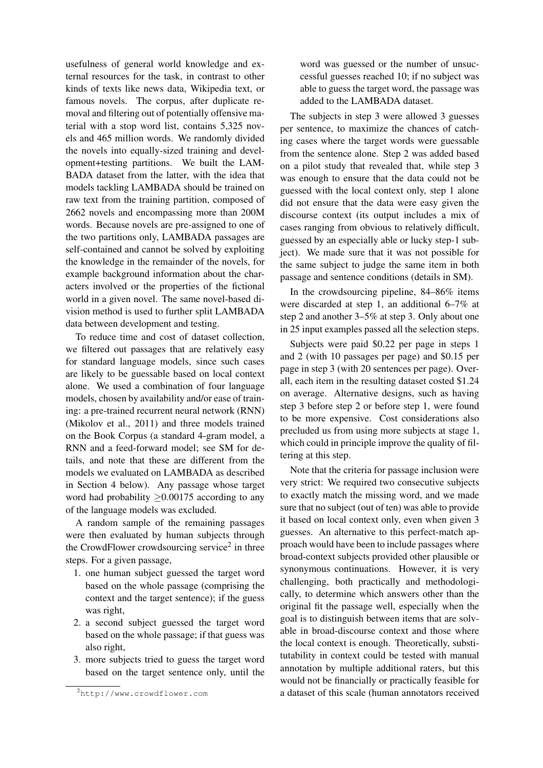usefulness of general world knowledge and external resources for the task, in contrast to other kinds of texts like news data, Wikipedia text, or famous novels. The corpus, after duplicate removal and filtering out of potentially offensive material with a stop word list, contains 5,325 novels and 465 million words. We randomly divided the novels into equally-sized training and development+testing partitions. We built the LAM-BADA dataset from the latter, with the idea that models tackling LAMBADA should be trained on raw text from the training partition, composed of 2662 novels and encompassing more than 200M words. Because novels are pre-assigned to one of the two partitions only, LAMBADA passages are self-contained and cannot be solved by exploiting the knowledge in the remainder of the novels, for example background information about the characters involved or the properties of the fictional world in a given novel. The same novel-based division method is used to further split LAMBADA data between development and testing.

To reduce time and cost of dataset collection, we filtered out passages that are relatively easy for standard language models, since such cases are likely to be guessable based on local context alone. We used a combination of four language models, chosen by availability and/or ease of training: a pre-trained recurrent neural network (RNN) (Mikolov et al., 2011) and three models trained on the Book Corpus (a standard 4-gram model, a RNN and a feed-forward model; see SM for details, and note that these are different from the models we evaluated on LAMBADA as described in Section 4 below). Any passage whose target word had probability  $\geq$  0.00175 according to any of the language models was excluded.

A random sample of the remaining passages were then evaluated by human subjects through the CrowdFlower crowdsourcing service<sup>2</sup> in three steps. For a given passage,

- 1. one human subject guessed the target word based on the whole passage (comprising the context and the target sentence); if the guess was right,
- 2. a second subject guessed the target word based on the whole passage; if that guess was also right,
- 3. more subjects tried to guess the target word based on the target sentence only, until the

word was guessed or the number of unsuccessful guesses reached 10; if no subject was able to guess the target word, the passage was added to the LAMBADA dataset.

The subjects in step 3 were allowed 3 guesses per sentence, to maximize the chances of catching cases where the target words were guessable from the sentence alone. Step 2 was added based on a pilot study that revealed that, while step 3 was enough to ensure that the data could not be guessed with the local context only, step 1 alone did not ensure that the data were easy given the discourse context (its output includes a mix of cases ranging from obvious to relatively difficult, guessed by an especially able or lucky step-1 subject). We made sure that it was not possible for the same subject to judge the same item in both passage and sentence conditions (details in SM).

In the crowdsourcing pipeline, 84–86% items were discarded at step 1, an additional 6–7% at step 2 and another 3–5% at step 3. Only about one in 25 input examples passed all the selection steps.

Subjects were paid \$0.22 per page in steps 1 and 2 (with 10 passages per page) and \$0.15 per page in step 3 (with 20 sentences per page). Overall, each item in the resulting dataset costed \$1.24 on average. Alternative designs, such as having step 3 before step 2 or before step 1, were found to be more expensive. Cost considerations also precluded us from using more subjects at stage 1, which could in principle improve the quality of filtering at this step.

Note that the criteria for passage inclusion were very strict: We required two consecutive subjects to exactly match the missing word, and we made sure that no subject (out of ten) was able to provide it based on local context only, even when given 3 guesses. An alternative to this perfect-match approach would have been to include passages where broad-context subjects provided other plausible or synonymous continuations. However, it is very challenging, both practically and methodologically, to determine which answers other than the original fit the passage well, especially when the goal is to distinguish between items that are solvable in broad-discourse context and those where the local context is enough. Theoretically, substitutability in context could be tested with manual annotation by multiple additional raters, but this would not be financially or practically feasible for a dataset of this scale (human annotators received

<sup>2</sup>http://www.crowdflower.com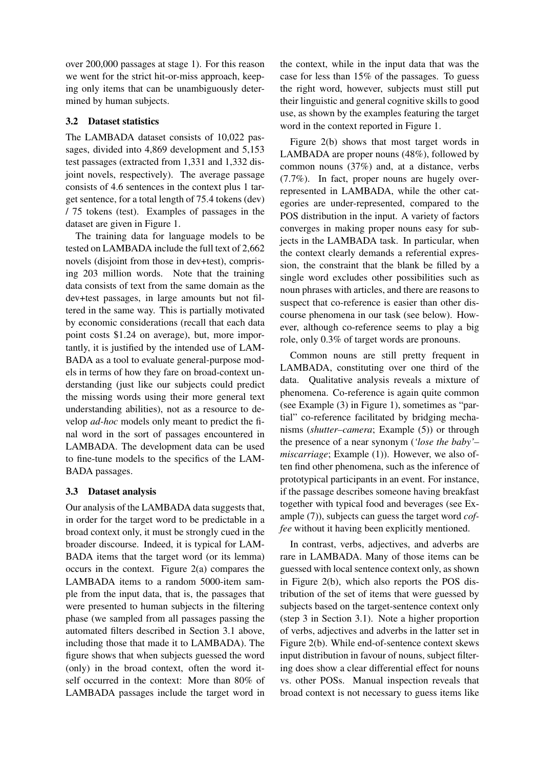over 200,000 passages at stage 1). For this reason we went for the strict hit-or-miss approach, keeping only items that can be unambiguously determined by human subjects.

## 3.2 Dataset statistics

The LAMBADA dataset consists of 10,022 passages, divided into 4,869 development and 5,153 test passages (extracted from 1,331 and 1,332 disjoint novels, respectively). The average passage consists of 4.6 sentences in the context plus 1 target sentence, for a total length of 75.4 tokens (dev) / 75 tokens (test). Examples of passages in the dataset are given in Figure 1.

The training data for language models to be tested on LAMBADA include the full text of 2,662 novels (disjoint from those in dev+test), comprising 203 million words. Note that the training data consists of text from the same domain as the dev+test passages, in large amounts but not filtered in the same way. This is partially motivated by economic considerations (recall that each data point costs \$1.24 on average), but, more importantly, it is justified by the intended use of LAM-BADA as a tool to evaluate general-purpose models in terms of how they fare on broad-context understanding (just like our subjects could predict the missing words using their more general text understanding abilities), not as a resource to develop *ad-hoc* models only meant to predict the final word in the sort of passages encountered in LAMBADA. The development data can be used to fine-tune models to the specifics of the LAM-BADA passages.

# 3.3 Dataset analysis

Our analysis of the LAMBADA data suggests that, in order for the target word to be predictable in a broad context only, it must be strongly cued in the broader discourse. Indeed, it is typical for LAM-BADA items that the target word (or its lemma) occurs in the context. Figure 2(a) compares the LAMBADA items to a random 5000-item sample from the input data, that is, the passages that were presented to human subjects in the filtering phase (we sampled from all passages passing the automated filters described in Section 3.1 above, including those that made it to LAMBADA). The figure shows that when subjects guessed the word (only) in the broad context, often the word itself occurred in the context: More than 80% of LAMBADA passages include the target word in the context, while in the input data that was the case for less than 15% of the passages. To guess the right word, however, subjects must still put their linguistic and general cognitive skills to good use, as shown by the examples featuring the target word in the context reported in Figure 1.

Figure 2(b) shows that most target words in LAMBADA are proper nouns (48%), followed by common nouns (37%) and, at a distance, verbs (7.7%). In fact, proper nouns are hugely overrepresented in LAMBADA, while the other categories are under-represented, compared to the POS distribution in the input. A variety of factors converges in making proper nouns easy for subjects in the LAMBADA task. In particular, when the context clearly demands a referential expression, the constraint that the blank be filled by a single word excludes other possibilities such as noun phrases with articles, and there are reasons to suspect that co-reference is easier than other discourse phenomena in our task (see below). However, although co-reference seems to play a big role, only 0.3% of target words are pronouns.

Common nouns are still pretty frequent in LAMBADA, constituting over one third of the data. Qualitative analysis reveals a mixture of phenomena. Co-reference is again quite common (see Example (3) in Figure 1), sometimes as "partial" co-reference facilitated by bridging mechanisms (*shutter–camera*; Example (5)) or through the presence of a near synonym (*'lose the baby'– miscarriage*; Example (1)). However, we also often find other phenomena, such as the inference of prototypical participants in an event. For instance, if the passage describes someone having breakfast together with typical food and beverages (see Example (7)), subjects can guess the target word *coffee* without it having been explicitly mentioned.

In contrast, verbs, adjectives, and adverbs are rare in LAMBADA. Many of those items can be guessed with local sentence context only, as shown in Figure 2(b), which also reports the POS distribution of the set of items that were guessed by subjects based on the target-sentence context only (step 3 in Section 3.1). Note a higher proportion of verbs, adjectives and adverbs in the latter set in Figure 2(b). While end-of-sentence context skews input distribution in favour of nouns, subject filtering does show a clear differential effect for nouns vs. other POSs. Manual inspection reveals that broad context is not necessary to guess items like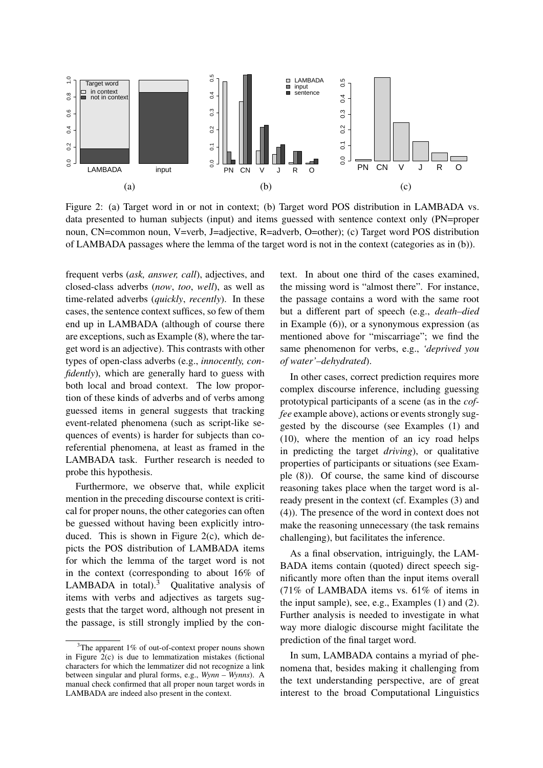

Figure 2: (a) Target word in or not in context; (b) Target word POS distribution in LAMBADA vs. data presented to human subjects (input) and items guessed with sentence context only (PN=proper noun, CN=common noun, V=verb, J=adjective, R=adverb, O=other); (c) Target word POS distribution of LAMBADA passages where the lemma of the target word is not in the context (categories as in (b)).

frequent verbs (*ask, answer, call*), adjectives, and closed-class adverbs (*now*, *too*, *well*), as well as time-related adverbs (*quickly*, *recently*). In these cases, the sentence context suffices, so few of them end up in LAMBADA (although of course there are exceptions, such as Example (8), where the target word is an adjective). This contrasts with other types of open-class adverbs (e.g., *innocently, confidently*), which are generally hard to guess with both local and broad context. The low proportion of these kinds of adverbs and of verbs among guessed items in general suggests that tracking event-related phenomena (such as script-like sequences of events) is harder for subjects than coreferential phenomena, at least as framed in the LAMBADA task. Further research is needed to probe this hypothesis.

Furthermore, we observe that, while explicit mention in the preceding discourse context is critical for proper nouns, the other categories can often be guessed without having been explicitly introduced. This is shown in Figure 2(c), which depicts the POS distribution of LAMBADA items for which the lemma of the target word is not in the context (corresponding to about 16% of LAMBADA in total). $3$  Qualitative analysis of items with verbs and adjectives as targets suggests that the target word, although not present in the passage, is still strongly implied by the context. In about one third of the cases examined, the missing word is "almost there". For instance, the passage contains a word with the same root but a different part of speech (e.g., *death–died* in Example (6)), or a synonymous expression (as mentioned above for "miscarriage"; we find the same phenomenon for verbs, e.g., *'deprived you of water'–dehydrated*).

In other cases, correct prediction requires more complex discourse inference, including guessing prototypical participants of a scene (as in the *coffee* example above), actions or events strongly suggested by the discourse (see Examples (1) and (10), where the mention of an icy road helps in predicting the target *driving*), or qualitative properties of participants or situations (see Example (8)). Of course, the same kind of discourse reasoning takes place when the target word is already present in the context (cf. Examples (3) and (4)). The presence of the word in context does not make the reasoning unnecessary (the task remains challenging), but facilitates the inference.

As a final observation, intriguingly, the LAM-BADA items contain (quoted) direct speech significantly more often than the input items overall (71% of LAMBADA items vs. 61% of items in the input sample), see, e.g., Examples (1) and (2). Further analysis is needed to investigate in what way more dialogic discourse might facilitate the prediction of the final target word.

In sum, LAMBADA contains a myriad of phenomena that, besides making it challenging from the text understanding perspective, are of great interest to the broad Computational Linguistics

<sup>&</sup>lt;sup>3</sup>The apparent 1% of out-of-context proper nouns shown in Figure 2(c) is due to lemmatization mistakes (fictional characters for which the lemmatizer did not recognize a link between singular and plural forms, e.g., *Wynn – Wynns*). A manual check confirmed that all proper noun target words in LAMBADA are indeed also present in the context.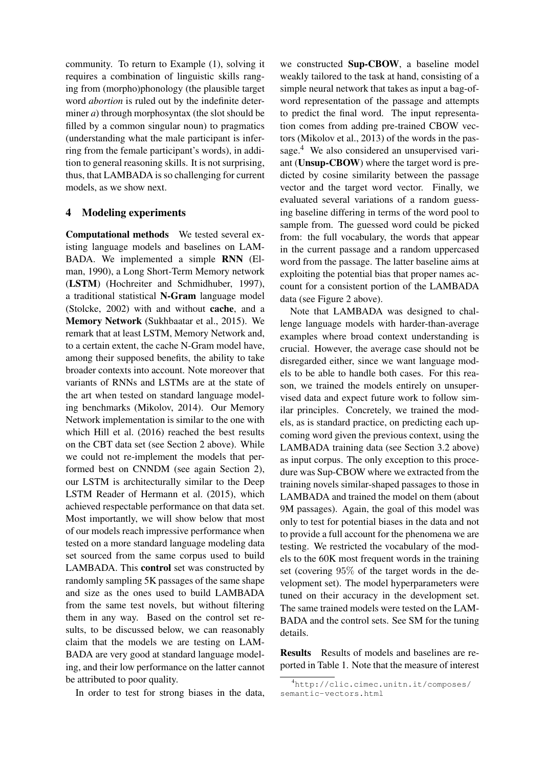community. To return to Example (1), solving it requires a combination of linguistic skills ranging from (morpho)phonology (the plausible target word *abortion* is ruled out by the indefinite determiner *a*) through morphosyntax (the slot should be filled by a common singular noun) to pragmatics (understanding what the male participant is inferring from the female participant's words), in addition to general reasoning skills. It is not surprising, thus, that LAMBADA is so challenging for current models, as we show next.

## 4 Modeling experiments

Computational methods We tested several existing language models and baselines on LAM-BADA. We implemented a simple RNN (Elman, 1990), a Long Short-Term Memory network (LSTM) (Hochreiter and Schmidhuber, 1997), a traditional statistical N-Gram language model (Stolcke, 2002) with and without cache, and a Memory Network (Sukhbaatar et al., 2015). We remark that at least LSTM, Memory Network and, to a certain extent, the cache N-Gram model have, among their supposed benefits, the ability to take broader contexts into account. Note moreover that variants of RNNs and LSTMs are at the state of the art when tested on standard language modeling benchmarks (Mikolov, 2014). Our Memory Network implementation is similar to the one with which Hill et al. (2016) reached the best results on the CBT data set (see Section 2 above). While we could not re-implement the models that performed best on CNNDM (see again Section 2), our LSTM is architecturally similar to the Deep LSTM Reader of Hermann et al. (2015), which achieved respectable performance on that data set. Most importantly, we will show below that most of our models reach impressive performance when tested on a more standard language modeling data set sourced from the same corpus used to build LAMBADA. This control set was constructed by randomly sampling 5K passages of the same shape and size as the ones used to build LAMBADA from the same test novels, but without filtering them in any way. Based on the control set results, to be discussed below, we can reasonably claim that the models we are testing on LAM-BADA are very good at standard language modeling, and their low performance on the latter cannot be attributed to poor quality.

In order to test for strong biases in the data,

we constructed Sup-CBOW, a baseline model weakly tailored to the task at hand, consisting of a simple neural network that takes as input a bag-ofword representation of the passage and attempts to predict the final word. The input representation comes from adding pre-trained CBOW vectors (Mikolov et al., 2013) of the words in the passage.<sup>4</sup> We also considered an unsupervised variant (Unsup-CBOW) where the target word is predicted by cosine similarity between the passage vector and the target word vector. Finally, we evaluated several variations of a random guessing baseline differing in terms of the word pool to sample from. The guessed word could be picked from: the full vocabulary, the words that appear in the current passage and a random uppercased word from the passage. The latter baseline aims at exploiting the potential bias that proper names account for a consistent portion of the LAMBADA data (see Figure 2 above).

Note that LAMBADA was designed to challenge language models with harder-than-average examples where broad context understanding is crucial. However, the average case should not be disregarded either, since we want language models to be able to handle both cases. For this reason, we trained the models entirely on unsupervised data and expect future work to follow similar principles. Concretely, we trained the models, as is standard practice, on predicting each upcoming word given the previous context, using the LAMBADA training data (see Section 3.2 above) as input corpus. The only exception to this procedure was Sup-CBOW where we extracted from the training novels similar-shaped passages to those in LAMBADA and trained the model on them (about 9M passages). Again, the goal of this model was only to test for potential biases in the data and not to provide a full account for the phenomena we are testing. We restricted the vocabulary of the models to the 60K most frequent words in the training set (covering 95% of the target words in the development set). The model hyperparameters were tuned on their accuracy in the development set. The same trained models were tested on the LAM-BADA and the control sets. See SM for the tuning details.

Results Results of models and baselines are reported in Table 1. Note that the measure of interest

<sup>4</sup>http://clic.cimec.unitn.it/composes/ semantic-vectors.html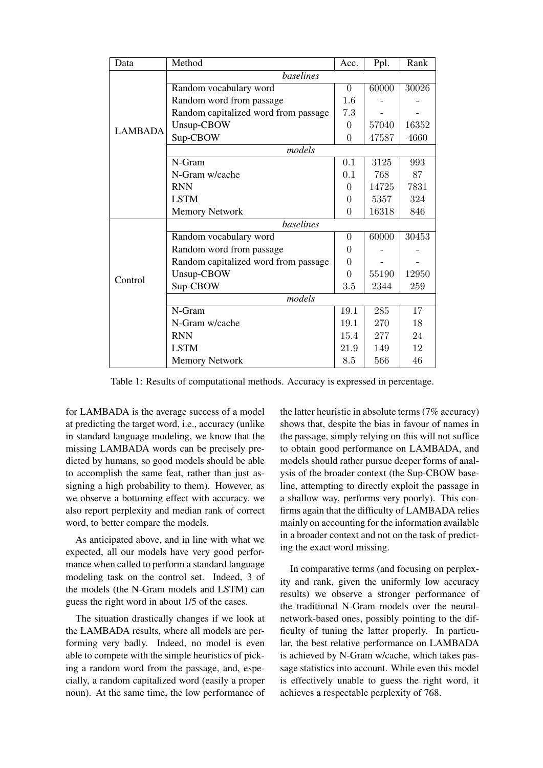| Data           | Method                               | Acc.           | Ppl.  | Rank  |  |  |
|----------------|--------------------------------------|----------------|-------|-------|--|--|
|                | baselines                            |                |       |       |  |  |
| <b>LAMBADA</b> | Random vocabulary word               | $\theta$       | 60000 | 30026 |  |  |
|                | Random word from passage             | 1.6            |       |       |  |  |
|                | Random capitalized word from passage | 7.3            |       |       |  |  |
|                | Unsup-CBOW                           | $\overline{0}$ | 57040 | 16352 |  |  |
|                | Sup-CBOW                             | $\overline{0}$ | 47587 | 4660  |  |  |
|                | models                               |                |       |       |  |  |
|                | N-Gram                               | 0.1            | 3125  | 993   |  |  |
|                | N-Gram w/cache                       | 0.1            | 768   | 87    |  |  |
|                | <b>RNN</b>                           | $\Omega$       | 14725 | 7831  |  |  |
|                | <b>LSTM</b>                          | $\Omega$       | 5357  | 324   |  |  |
|                | <b>Memory Network</b>                | $\Omega$       | 16318 | 846   |  |  |
|                | baselines                            |                |       |       |  |  |
| Control        | Random vocabulary word               | $\theta$       | 60000 | 30453 |  |  |
|                | Random word from passage             | $\theta$       |       |       |  |  |
|                | Random capitalized word from passage | $\theta$       |       |       |  |  |
|                | Unsup-CBOW                           | $\Omega$       | 55190 | 12950 |  |  |
|                | Sup-CBOW                             | $3.5\,$        | 2344  | 259   |  |  |
|                | models                               |                |       |       |  |  |
|                | N-Gram                               | 19.1           | 285   | 17    |  |  |
|                | N-Gram w/cache                       | 19.1           | 270   | 18    |  |  |
|                | <b>RNN</b>                           | 15.4           | 277   | 24    |  |  |
|                | <b>LSTM</b>                          | 21.9           | 149   | 12    |  |  |
|                | <b>Memory Network</b>                | 8.5            | 566   | 46    |  |  |

Table 1: Results of computational methods. Accuracy is expressed in percentage.

for LAMBADA is the average success of a model at predicting the target word, i.e., accuracy (unlike in standard language modeling, we know that the missing LAMBADA words can be precisely predicted by humans, so good models should be able to accomplish the same feat, rather than just assigning a high probability to them). However, as we observe a bottoming effect with accuracy, we also report perplexity and median rank of correct word, to better compare the models.

As anticipated above, and in line with what we expected, all our models have very good performance when called to perform a standard language modeling task on the control set. Indeed, 3 of the models (the N-Gram models and LSTM) can guess the right word in about 1/5 of the cases.

The situation drastically changes if we look at the LAMBADA results, where all models are performing very badly. Indeed, no model is even able to compete with the simple heuristics of picking a random word from the passage, and, especially, a random capitalized word (easily a proper noun). At the same time, the low performance of the latter heuristic in absolute terms (7% accuracy) shows that, despite the bias in favour of names in the passage, simply relying on this will not suffice to obtain good performance on LAMBADA, and models should rather pursue deeper forms of analysis of the broader context (the Sup-CBOW baseline, attempting to directly exploit the passage in a shallow way, performs very poorly). This confirms again that the difficulty of LAMBADA relies mainly on accounting for the information available in a broader context and not on the task of predicting the exact word missing.

In comparative terms (and focusing on perplexity and rank, given the uniformly low accuracy results) we observe a stronger performance of the traditional N-Gram models over the neuralnetwork-based ones, possibly pointing to the difficulty of tuning the latter properly. In particular, the best relative performance on LAMBADA is achieved by N-Gram w/cache, which takes passage statistics into account. While even this model is effectively unable to guess the right word, it achieves a respectable perplexity of 768.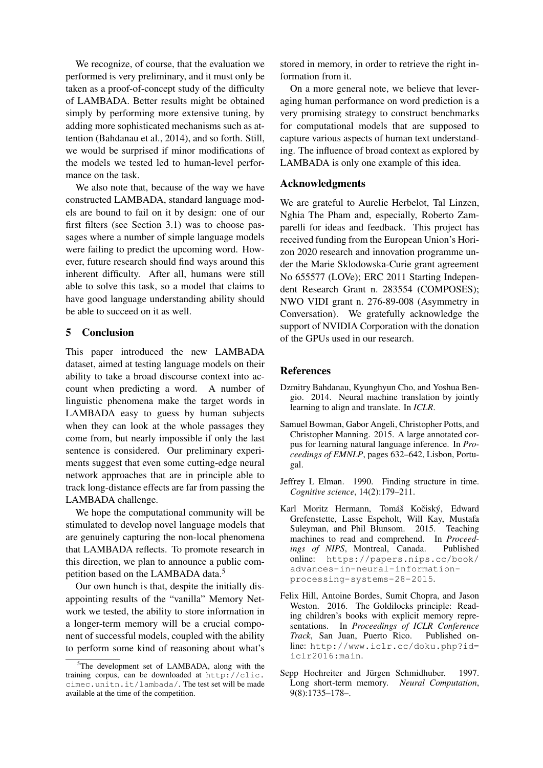We recognize, of course, that the evaluation we performed is very preliminary, and it must only be taken as a proof-of-concept study of the difficulty of LAMBADA. Better results might be obtained simply by performing more extensive tuning, by adding more sophisticated mechanisms such as attention (Bahdanau et al., 2014), and so forth. Still, we would be surprised if minor modifications of the models we tested led to human-level performance on the task.

We also note that, because of the way we have constructed LAMBADA, standard language models are bound to fail on it by design: one of our first filters (see Section 3.1) was to choose passages where a number of simple language models were failing to predict the upcoming word. However, future research should find ways around this inherent difficulty. After all, humans were still able to solve this task, so a model that claims to have good language understanding ability should be able to succeed on it as well.

## 5 Conclusion

This paper introduced the new LAMBADA dataset, aimed at testing language models on their ability to take a broad discourse context into account when predicting a word. A number of linguistic phenomena make the target words in LAMBADA easy to guess by human subjects when they can look at the whole passages they come from, but nearly impossible if only the last sentence is considered. Our preliminary experiments suggest that even some cutting-edge neural network approaches that are in principle able to track long-distance effects are far from passing the LAMBADA challenge.

We hope the computational community will be stimulated to develop novel language models that are genuinely capturing the non-local phenomena that LAMBADA reflects. To promote research in this direction, we plan to announce a public competition based on the LAMBADA data.<sup>5</sup>

Our own hunch is that, despite the initially disappointing results of the "vanilla" Memory Network we tested, the ability to store information in a longer-term memory will be a crucial component of successful models, coupled with the ability to perform some kind of reasoning about what's stored in memory, in order to retrieve the right information from it.

On a more general note, we believe that leveraging human performance on word prediction is a very promising strategy to construct benchmarks for computational models that are supposed to capture various aspects of human text understanding. The influence of broad context as explored by LAMBADA is only one example of this idea.

## Acknowledgments

We are grateful to Aurelie Herbelot, Tal Linzen, Nghia The Pham and, especially, Roberto Zamparelli for ideas and feedback. This project has received funding from the European Union's Horizon 2020 research and innovation programme under the Marie Sklodowska-Curie grant agreement No 655577 (LOVe); ERC 2011 Starting Independent Research Grant n. 283554 (COMPOSES); NWO VIDI grant n. 276-89-008 (Asymmetry in Conversation). We gratefully acknowledge the support of NVIDIA Corporation with the donation of the GPUs used in our research.

#### **References**

- Dzmitry Bahdanau, Kyunghyun Cho, and Yoshua Bengio. 2014. Neural machine translation by jointly learning to align and translate. In *ICLR*.
- Samuel Bowman, Gabor Angeli, Christopher Potts, and Christopher Manning. 2015. A large annotated corpus for learning natural language inference. In *Proceedings of EMNLP*, pages 632–642, Lisbon, Portugal.
- Jeffrey L Elman. 1990. Finding structure in time. *Cognitive science*, 14(2):179–211.
- Karl Moritz Hermann, Tomáš Kočiský, Edward Grefenstette, Lasse Espeholt, Will Kay, Mustafa Suleyman, and Phil Blunsom. 2015. Teaching machines to read and comprehend. In *Proceedings of NIPS*, Montreal, Canada. Published online: https://papers.nips.cc/book/ advances-in-neural-informationprocessing-systems-28-2015.
- Felix Hill, Antoine Bordes, Sumit Chopra, and Jason Weston. 2016. The Goldilocks principle: Reading children's books with explicit memory representations. In *Proceedings of ICLR Conference Track*, San Juan, Puerto Rico. Published online: http://www.iclr.cc/doku.php?id= iclr2016:main.
- Sepp Hochreiter and Jürgen Schmidhuber. 1997. Long short-term memory. *Neural Computation*, 9(8):1735–178–.

<sup>&</sup>lt;sup>5</sup>The development set of LAMBADA, along with the training corpus, can be downloaded at http://clic. cimec.unitn.it/lambada/. The test set will be made available at the time of the competition.